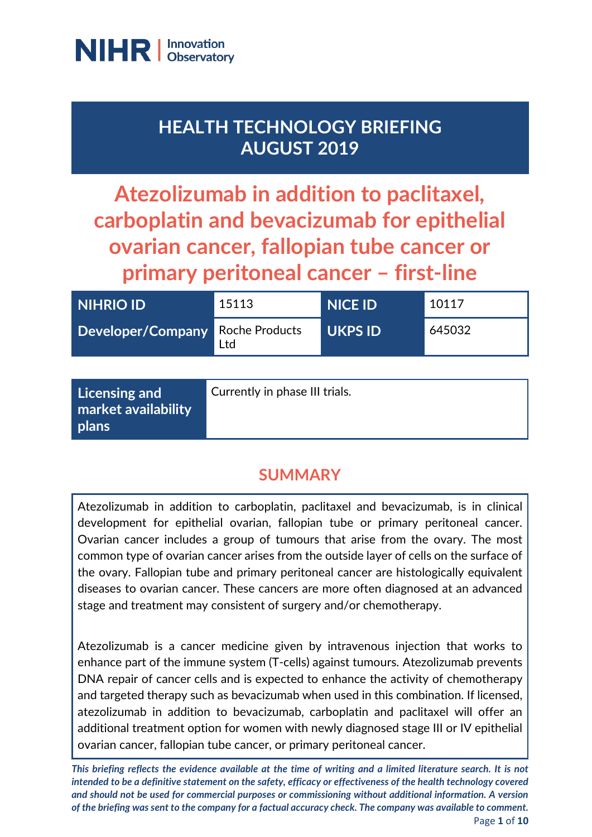

# **HEALTH TECHNOLOGY BRIEFING AUGUST 2019**

**Atezolizumab in addition to paclitaxel, carboplatin and bevacizumab for epithelial ovarian cancer, fallopian tube cancer or primary peritoneal cancer – first-line**

| NIHRIO ID                        | 15113 | <b>NICE ID</b> | 10117  |
|----------------------------------|-------|----------------|--------|
| Developer/Company Roche Products | Ltd   | <b>UKPS ID</b> | 645032 |

| $\mid$ Licensing and                | Currently in phase III trials. |
|-------------------------------------|--------------------------------|
| market availability<br><b>plans</b> |                                |
|                                     |                                |

# **SUMMARY**

Atezolizumab in addition to carboplatin, paclitaxel and bevacizumab, is in clinical development for epithelial ovarian, fallopian tube or primary peritoneal cancer. Ovarian cancer includes a group of tumours that arise from the ovary. The most common type of ovarian cancer arises from the outside layer of cells on the surface of the ovary. Fallopian tube and primary peritoneal cancer are histologically equivalent diseases to ovarian cancer. These cancers are more often diagnosed at an advanced stage and treatment may consistent of surgery and/or chemotherapy.

Atezolizumab is a cancer medicine given by intravenous injection that works to enhance part of the immune system (T-cells) against tumours. Atezolizumab prevents DNA repair of cancer cells and is expected to enhance the activity of chemotherapy and targeted therapy such as bevacizumab when used in this combination. If licensed, atezolizumab in addition to bevacizumab, carboplatin and paclitaxel will offer an additional treatment option for women with newly diagnosed stage III or IV epithelial ovarian cancer, fallopian tube cancer, or primary peritoneal cancer.

*This briefing reflects the evidence available at the time of writing and a limited literature search. It is not intended to be a definitive statement on the safety, efficacy or effectiveness of the health technology covered and should not be used for commercial purposes or commissioning without additional information. A version of the briefing was sent to the company for a factual accuracy check. The company was available to comment.* Page **1** of **10**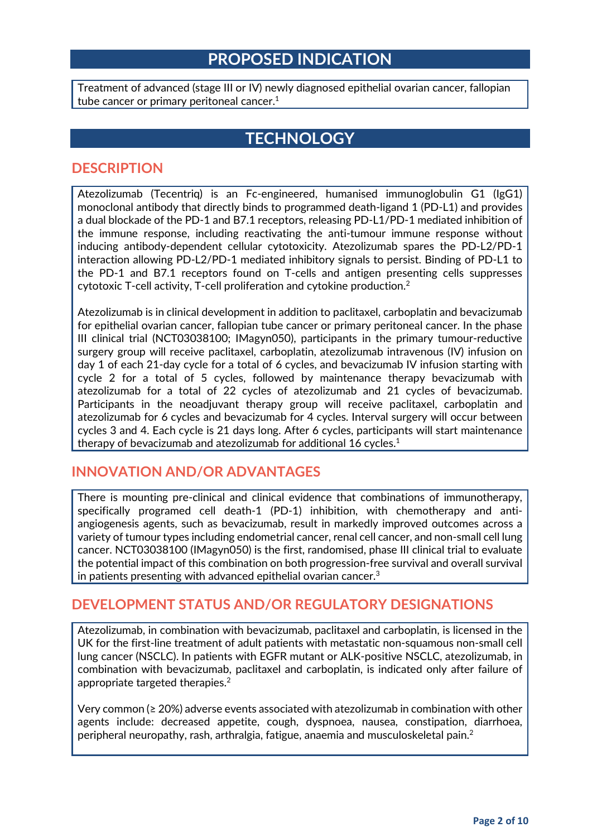## **PROPOSED INDICATION**

Treatment of advanced (stage III or IV) newly diagnosed epithelial ovarian cancer, fallopian tube cancer or primary peritoneal cancer. $^{\rm 1}$ 

## **TECHNOLOGY**

#### **DESCRIPTION**

Atezolizumab (Tecentriq) is an Fc-engineered, humanised immunoglobulin G1 (IgG1) monoclonal antibody that directly binds to programmed death-ligand 1 (PD-L1) and provides a dual blockade of the PD-1 and B7.1 receptors, releasing PD-L1/PD-1 mediated inhibition of the immune response, including reactivating the anti-tumour immune response without inducing antibody-dependent cellular cytotoxicity. Atezolizumab spares the PD-L2/PD-1 interaction allowing PD-L2/PD-1 mediated inhibitory signals to persist. Binding of PD-L1 to the PD-1 and B7.1 receptors found on T-cells and antigen presenting cells suppresses  $\,$ cytotoxi $\,$ c $\,$  T-cell a $\,$ ctivity, T-cell $\,$  proliferation and cytokine $\,$  production. $^{2}$ 

Atezolizumab is in clinical development in addition to paclitaxel, carboplatin and bevacizumab for epithelial ovarian cancer, fallopian tube cancer or primary peritoneal cancer. In the phase III clinical trial (NCT03038100; IMagyn050), participants in the primary tumour-reductive surgery group will receive paclitaxel, carboplatin, atezolizumab intravenous (IV) infusion on day 1 of each 21-day cycle for a total of 6 cycles, and bevacizumab IV infusion starting with cycle 2 for a total of 5 cycles, followed by maintenance therapy bevacizumab with atezolizumab for a total of 22 cycles of atezolizumab and 21 cycles of bevacizumab. Participants in the neoadjuvant therapy group will receive paclitaxel, carboplatin and atezolizumab for 6 cycles and bevacizumab for 4 cycles. Interval surgery will occur between cycles 3 and 4. Each cycle is 21 days long. After 6 cycles, participants will start maintenance therapy of bevacizumab and atezolizumab for additional 16 cycles. $<sup>1</sup>$ </sup>

#### **INNOVATION AND/OR ADVANTAGES**

There is mounting pre-clinical and clinical evidence that combinations of immunotherapy, specifically programed cell death-1 (PD-1) inhibition, with chemotherapy and antiangiogenesis agents, such as bevacizumab, result in markedly improved outcomes across a variety of tumour types including endometrial cancer, renal cell cancer, and non-small cell lung cancer. NCT03038100 (IMagyn050) is the first, randomised, phase III clinical trial to evaluate the potential impact of this combination on both progression-free survival and overall survival in patients presenting with advanced epithelial ovarian cancer. $3$ 

#### **DEVELOPMENT STATUS AND/OR REGULATORY DESIGNATIONS**

Atezolizumab, in combination with bevacizumab, paclitaxel and carboplatin, is licensed in the UK for the first-line treatment of adult patients with metastatic non-squamous non-small cell lung cancer (NSCLC). In patients with EGFR mutant or ALK-positive NSCLC, atezolizumab, in combination with bevacizumab, paclitaxel and carboplatin, is indicated only after failure of appropriate targeted therapies. $^2$ 

Very common (≥ 20%) adverse events associated with atezolizumab in combination with other agents include: decreased appetite, cough, dyspnoea, nausea, constipation, diarrhoea, peripheral neuropathy, rash, arthralgia, fatigue, anaemia and musculoskeletal pain. 2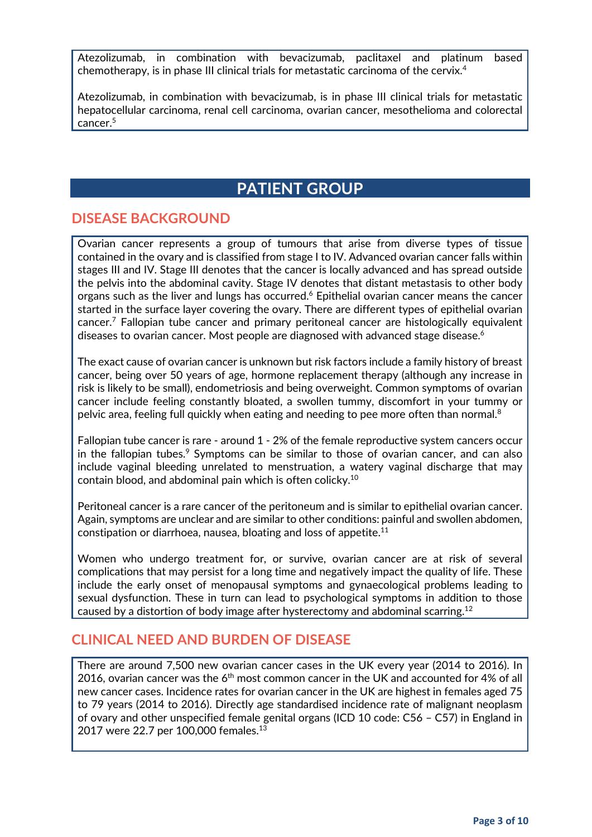Atezolizumab, in combination with bevacizumab, paclitaxel and platinum based chemotherapy, is in phase III clinical trials for metastatic carcinoma of the cervix. 4

Atezolizumab, in combination with bevacizumab, is in phase III clinical trials for metastatic hepatocellular carcinoma, renal cell carcinoma, ovarian cancer, mesothelioma and colorectal cancer. 5

## **PATIENT GROUP**

#### **DISEASE BACKGROUND**

Ovarian cancer represents a group of tumours that arise from diverse types of tissue contained in the ovary and is classified from stage I to IV. Advanced ovarian cancer falls within stages III and IV. Stage III denotes that the cancer is locally advanced and has spread outside the pelvis into the abdominal cavity. Stage IV denotes that distant metastasis to other body organs such as the liver and lungs has occurred.<sup>6</sup> Epithelial ovarian cancer means the cancer started in the surface layer covering the ovary. There are different types of epithelial ovarian cancer.7 Fallopian tube cancer and primary peritoneal cancer are histologically equivalent diseases to ovarian cancer. Most people are diagnosed with advanced stage disease.<sup>6</sup>

The exact cause of ovarian cancer is unknown but risk factors include a family history of breast cancer, being over 50 years of age, hormone replacement therapy (although any increase in risk is likely to be small), endometriosis and being overweight. Common symptoms of ovarian cancer include feeling constantly bloated, a swollen tummy, discomfort in your tummy or pelvic area, feeling full quickly when eating and needing to pee more often than normal. $^{\rm 8}$ 

Fallopian tube cancer is rare - around 1 - 2% of the female reproductive system cancers occur in the fallopian tubes. $9$  Symptoms can be similar to those of ovarian cancer, and can also include vaginal bleeding unrelated to menstruation, a watery vaginal discharge that may contain blood, and abdominal pain which is often colicky. 10

Peritoneal cancer is a rare cancer of the peritoneum and is similar to epithelial ovarian cancer. Again, symptoms are unclear and are similar to other conditions: painful and swollen abdomen, constipation or diarrhoea, nausea, bloating and loss of appetite.11

Women who undergo treatment for, or survive, ovarian cancer are at risk of several complications that may persist for a long time and negatively impact the quality of life. These include the early onset of menopausal symptoms and gynaecological problems leading to sexual dysfunction. These in turn can lead to psychological symptoms in addition to those caused by a distortion of body image after hysterectomy and abdominal scarring.<sup>12</sup>

#### **CLINICAL NEED AND BURDEN OF DISEASE**

There are around 7,500 new ovarian cancer cases in the UK every year (2014 to 2016). In 2016, ovarian cancer was the  $6<sup>th</sup>$  most common cancer in the UK and accounted for 4% of all new cancer cases. Incidence rates for ovarian cancer in the UK are highest in females aged 75 to 79 years (2014 to 2016). Directly age standardised incidence rate of malignant neoplasm of ovary and other unspecified female genital organs (ICD 10 code: C56 – C57) in England in 2017 were 22.7 per 100,000 females.<sup>13</sup>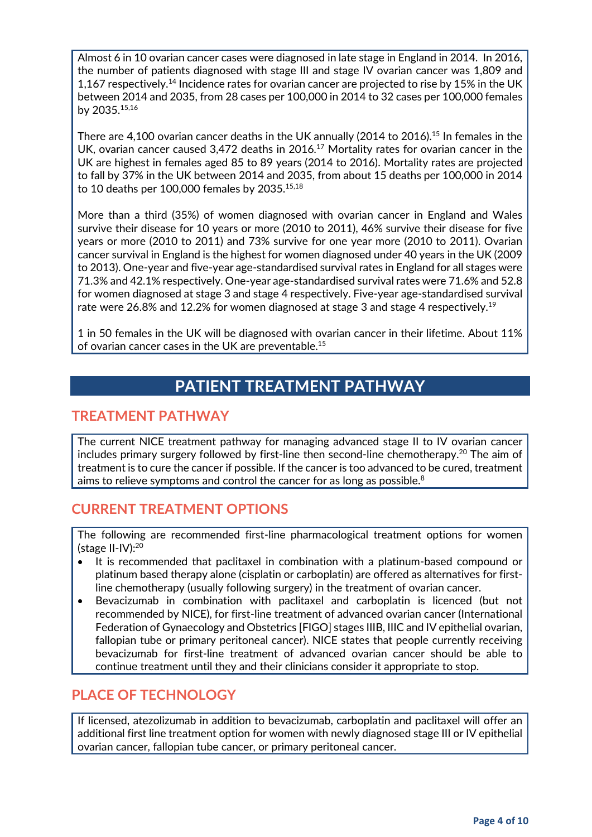Almost 6 in 10 ovarian cancer cases were diagnosed in late stage in England in 2014. In 2016, the number of patients diagnosed with stage III and stage IV ovarian cancer was 1,809 and 1,167 respectively.<sup>14</sup> Incidence rates for ovarian cancer are projected to rise by 15% in the UK between 2014 and 2035, from 28 cases per 100,000 in 2014 to 32 cases per 100,000 females by 2035. 15,16

There are 4,100 ovarian cancer deaths in the UK annually (2014 to 2016).<sup>15</sup> In females in the UK, ovarian cancer caused 3,472 deaths in 2016.<sup>17</sup> Mortality rates for ovarian cancer in the UK are highest in females aged 85 to 89 years (2014 to 2016). Mortality rates are projected to fall by 37% in the UK between 2014 and 2035, from about 15 deaths per 100,000 in 2014 to 10 deaths per 100,000 females by 2035.15,18

More than a third (35%) of women diagnosed with ovarian cancer in England and Wales survive their disease for 10 years or more (2010 to 2011), 46% survive their disease for five years or more (2010 to 2011) and 73% survive for one year more (2010 to 2011). Ovarian cancer survival in England is the highest for women diagnosed under 40 years in the UK (2009 to 2013). One-year and five-year age-standardised survival rates in England for all stages were 71.3% and 42.1% respectively. One-year age-standardised survival rates were 71.6% and 52.8 for women diagnosed at stage 3 and stage 4 respectively. Five-year age-standardised survival rate were 26.8% and 12.2% for women diagnosed at stage 3 and stage 4 respectively.19

1 in 50 females in the UK will be diagnosed with ovarian cancer in their lifetime. About 11% of ovarian cancer cases in the UK are preventable.15

# **PATIENT TREATMENT PATHWAY**

#### **TREATMENT PATHWAY**

The current NICE treatment pathway for managing advanced stage II to IV ovarian cancer includes primary surgery followed by first-line then second-line chemotherapy.<sup>20</sup> The aim of treatment is to cure the cancer if possible. If the cancer is too advanced to be cured, treatment aims to relieve symptoms and control the cancer for as long as possible. $8$ 

#### **CURRENT TREATMENT OPTIONS**

The following are recommended first-line pharmacological treatment options for women (stage II-IV):20

- It is recommended that paclitaxel in combination with a platinum-based compound or platinum based therapy alone (cisplatin or carboplatin) are offered as alternatives for firstline chemotherapy (usually following surgery) in the treatment of ovarian cancer.
- Bevacizumab in combination with paclitaxel and carboplatin is licenced (but not recommended by NICE), for first-line treatment of advanced ovarian cancer (International Federation of Gynaecology and Obstetrics [FIGO] stages IIIB, IIIC and IV epithelial ovarian, fallopian tube or primary peritoneal cancer). NICE states that people currently receiving bevacizumab for first-line treatment of advanced ovarian cancer should be able to continue treatment until they and their clinicians consider it appropriate to stop.

#### **PLACE OF TECHNOLOGY**

If licensed, atezolizumab in addition to bevacizumab, carboplatin and paclitaxel will offer an additional first line treatment option for women with newly diagnosed stage III or IV epithelial ovarian cancer, fallopian tube cancer, or primary peritoneal cancer.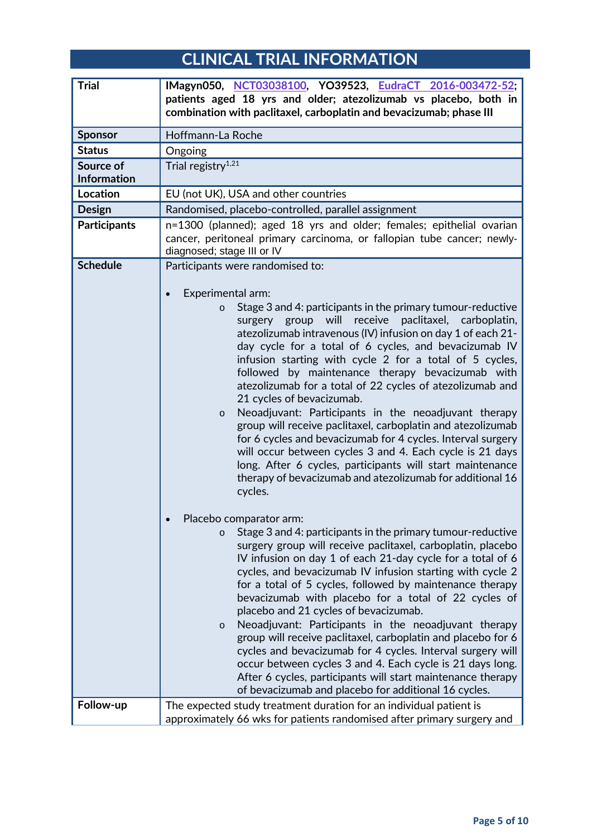# **CLINICAL TRIAL INFORMATION**

| <b>Trial</b>                    | IMagyn050, NCT03038100, YO39523, EudraCT 2016-003472-52;<br>patients aged 18 yrs and older; atezolizumab vs placebo, both in<br>combination with paclitaxel, carboplatin and bevacizumab; phase III                                                                                                                                                                                                                                                                                                                                                                                                                                                                                                                                                                                                                                                                                                                                                                                                                                                                                                                                                                                                                                                                                                                                                                                                                                   |
|---------------------------------|---------------------------------------------------------------------------------------------------------------------------------------------------------------------------------------------------------------------------------------------------------------------------------------------------------------------------------------------------------------------------------------------------------------------------------------------------------------------------------------------------------------------------------------------------------------------------------------------------------------------------------------------------------------------------------------------------------------------------------------------------------------------------------------------------------------------------------------------------------------------------------------------------------------------------------------------------------------------------------------------------------------------------------------------------------------------------------------------------------------------------------------------------------------------------------------------------------------------------------------------------------------------------------------------------------------------------------------------------------------------------------------------------------------------------------------|
| <b>Sponsor</b>                  | Hoffmann-La Roche                                                                                                                                                                                                                                                                                                                                                                                                                                                                                                                                                                                                                                                                                                                                                                                                                                                                                                                                                                                                                                                                                                                                                                                                                                                                                                                                                                                                                     |
| <b>Status</b>                   | Ongoing                                                                                                                                                                                                                                                                                                                                                                                                                                                                                                                                                                                                                                                                                                                                                                                                                                                                                                                                                                                                                                                                                                                                                                                                                                                                                                                                                                                                                               |
| Source of<br><b>Information</b> | Trial registry <sup>1,21</sup>                                                                                                                                                                                                                                                                                                                                                                                                                                                                                                                                                                                                                                                                                                                                                                                                                                                                                                                                                                                                                                                                                                                                                                                                                                                                                                                                                                                                        |
| <b>Location</b>                 | EU (not UK), USA and other countries                                                                                                                                                                                                                                                                                                                                                                                                                                                                                                                                                                                                                                                                                                                                                                                                                                                                                                                                                                                                                                                                                                                                                                                                                                                                                                                                                                                                  |
| <b>Design</b>                   | Randomised, placebo-controlled, parallel assignment                                                                                                                                                                                                                                                                                                                                                                                                                                                                                                                                                                                                                                                                                                                                                                                                                                                                                                                                                                                                                                                                                                                                                                                                                                                                                                                                                                                   |
| <b>Participants</b>             | n=1300 (planned); aged 18 yrs and older; females; epithelial ovarian<br>cancer, peritoneal primary carcinoma, or fallopian tube cancer; newly-<br>diagnosed; stage III or IV                                                                                                                                                                                                                                                                                                                                                                                                                                                                                                                                                                                                                                                                                                                                                                                                                                                                                                                                                                                                                                                                                                                                                                                                                                                          |
| <b>Schedule</b>                 | Participants were randomised to:<br>Experimental arm:<br>Stage 3 and 4: participants in the primary tumour-reductive<br>surgery group will<br>receive paclitaxel, carboplatin,<br>atezolizumab intravenous (IV) infusion on day 1 of each 21-<br>day cycle for a total of 6 cycles, and bevacizumab IV<br>infusion starting with cycle 2 for a total of 5 cycles,<br>followed by maintenance therapy bevacizumab with<br>atezolizumab for a total of 22 cycles of atezolizumab and<br>21 cycles of bevacizumab.<br>Neoadjuvant: Participants in the neoadjuvant therapy<br>$\circ$<br>group will receive paclitaxel, carboplatin and atezolizumab<br>for 6 cycles and bevacizumab for 4 cycles. Interval surgery<br>will occur between cycles 3 and 4. Each cycle is 21 days<br>long. After 6 cycles, participants will start maintenance<br>therapy of bevacizumab and atezolizumab for additional 16<br>cycles.<br>Placebo comparator arm:<br>Stage 3 and 4: participants in the primary tumour-reductive<br>$\circ$<br>surgery group will receive paclitaxel, carboplatin, placebo<br>IV infusion on day 1 of each 21-day cycle for a total of 6<br>cycles, and bevacizumab IV infusion starting with cycle 2<br>for a total of 5 cycles, followed by maintenance therapy<br>bevacizumab with placebo for a total of 22 cycles of<br>placebo and 21 cycles of bevacizumab.<br>Neoadjuvant: Participants in the neoadjuvant therapy |
|                                 | $\circ$<br>group will receive paclitaxel, carboplatin and placebo for 6<br>cycles and bevacizumab for 4 cycles. Interval surgery will<br>occur between cycles 3 and 4. Each cycle is 21 days long.<br>After 6 cycles, participants will start maintenance therapy<br>of bevacizumab and placebo for additional 16 cycles.                                                                                                                                                                                                                                                                                                                                                                                                                                                                                                                                                                                                                                                                                                                                                                                                                                                                                                                                                                                                                                                                                                             |
| Follow-up                       | The expected study treatment duration for an individual patient is<br>approximately 66 wks for patients randomised after primary surgery and                                                                                                                                                                                                                                                                                                                                                                                                                                                                                                                                                                                                                                                                                                                                                                                                                                                                                                                                                                                                                                                                                                                                                                                                                                                                                          |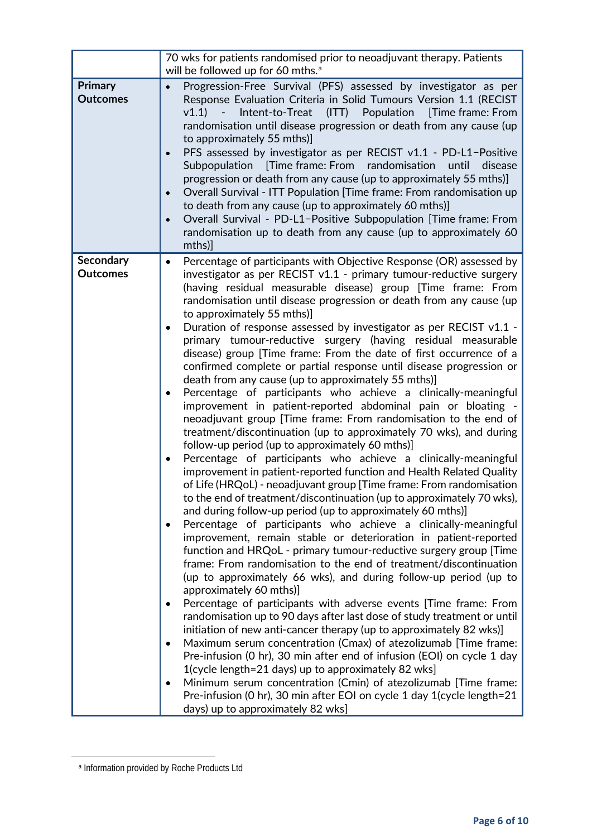|                                   | 70 wks for patients randomised prior to neoadjuvant therapy. Patients<br>will be followed up for 60 mths. <sup>a</sup>                                                                                                                                                                                                                                                                                                                                                                                                                                                                                                                                                                                                                                                                                                                                                                                                                                                                                                                                                                                                                                                                                                                                                                                                                                                                                                                                                                                                                                                                                                                                                                                                                                                                                                                                                                                                                                                                                                                                                                                                                                                                                                                                                                                                                                                                                                      |
|-----------------------------------|-----------------------------------------------------------------------------------------------------------------------------------------------------------------------------------------------------------------------------------------------------------------------------------------------------------------------------------------------------------------------------------------------------------------------------------------------------------------------------------------------------------------------------------------------------------------------------------------------------------------------------------------------------------------------------------------------------------------------------------------------------------------------------------------------------------------------------------------------------------------------------------------------------------------------------------------------------------------------------------------------------------------------------------------------------------------------------------------------------------------------------------------------------------------------------------------------------------------------------------------------------------------------------------------------------------------------------------------------------------------------------------------------------------------------------------------------------------------------------------------------------------------------------------------------------------------------------------------------------------------------------------------------------------------------------------------------------------------------------------------------------------------------------------------------------------------------------------------------------------------------------------------------------------------------------------------------------------------------------------------------------------------------------------------------------------------------------------------------------------------------------------------------------------------------------------------------------------------------------------------------------------------------------------------------------------------------------------------------------------------------------------------------------------------------------|
| <b>Primary</b><br><b>Outcomes</b> | Progression-Free Survival (PFS) assessed by investigator as per<br>$\bullet$<br>Response Evaluation Criteria in Solid Tumours Version 1.1 (RECIST<br>Intent-to-Treat (ITT) Population<br>[Time frame: From<br>v1.1<br>randomisation until disease progression or death from any cause (up<br>to approximately 55 mths)]<br>PFS assessed by investigator as per RECIST v1.1 - PD-L1-Positive<br>Subpopulation<br>Time frame: From<br>randomisation<br>until<br>disease<br>progression or death from any cause (up to approximately 55 mths)]<br>Overall Survival - ITT Population [Time frame: From randomisation up<br>$\bullet$<br>to death from any cause (up to approximately 60 mths)]<br>Overall Survival - PD-L1-Positive Subpopulation [Time frame: From<br>$\bullet$<br>randomisation up to death from any cause (up to approximately 60<br>mths)]                                                                                                                                                                                                                                                                                                                                                                                                                                                                                                                                                                                                                                                                                                                                                                                                                                                                                                                                                                                                                                                                                                                                                                                                                                                                                                                                                                                                                                                                                                                                                                  |
| Secondary<br><b>Outcomes</b>      | Percentage of participants with Objective Response (OR) assessed by<br>$\bullet$<br>investigator as per RECIST v1.1 - primary tumour-reductive surgery<br>(having residual measurable disease) group [Time frame: From<br>randomisation until disease progression or death from any cause (up<br>to approximately 55 mths)]<br>Duration of response assessed by investigator as per RECIST v1.1 -<br>$\bullet$<br>primary tumour-reductive surgery (having residual measurable<br>disease) group [Time frame: From the date of first occurrence of a<br>confirmed complete or partial response until disease progression or<br>death from any cause (up to approximately 55 mths)]<br>Percentage of participants who achieve a clinically-meaningful<br>٠<br>improvement in patient-reported abdominal pain or bloating -<br>neoadjuvant group [Time frame: From randomisation to the end of<br>treatment/discontinuation (up to approximately 70 wks), and during<br>follow-up period (up to approximately 60 mths)]<br>Percentage of participants who achieve a clinically-meaningful<br>improvement in patient-reported function and Health Related Quality<br>of Life (HRQoL) - neoadjuvant group [Time frame: From randomisation<br>to the end of treatment/discontinuation (up to approximately 70 wks),<br>and during follow-up period (up to approximately 60 mths)]<br>Percentage of participants who achieve a clinically-meaningful<br>$\bullet$<br>improvement, remain stable or deterioration in patient-reported<br>function and HRQoL - primary tumour-reductive surgery group [Time]<br>frame: From randomisation to the end of treatment/discontinuation<br>(up to approximately 66 wks), and during follow-up period (up to<br>approximately 60 mths)]<br>Percentage of participants with adverse events [Time frame: From<br>$\bullet$<br>randomisation up to 90 days after last dose of study treatment or until<br>initiation of new anti-cancer therapy (up to approximately 82 wks)]<br>Maximum serum concentration (Cmax) of atezolizumab [Time frame:<br>$\bullet$<br>Pre-infusion (0 hr), 30 min after end of infusion (EOI) on cycle 1 day<br>1(cycle length=21 days) up to approximately 82 wks]<br>Minimum serum concentration (Cmin) of atezolizumab [Time frame:<br>$\bullet$<br>Pre-infusion (0 hr), 30 min after EOI on cycle 1 day 1(cycle length=21<br>days) up to approximately 82 wks] |

<sup>a</sup> Information provided by Roche Products Ltd

<span id="page-5-0"></span> $\overline{a}$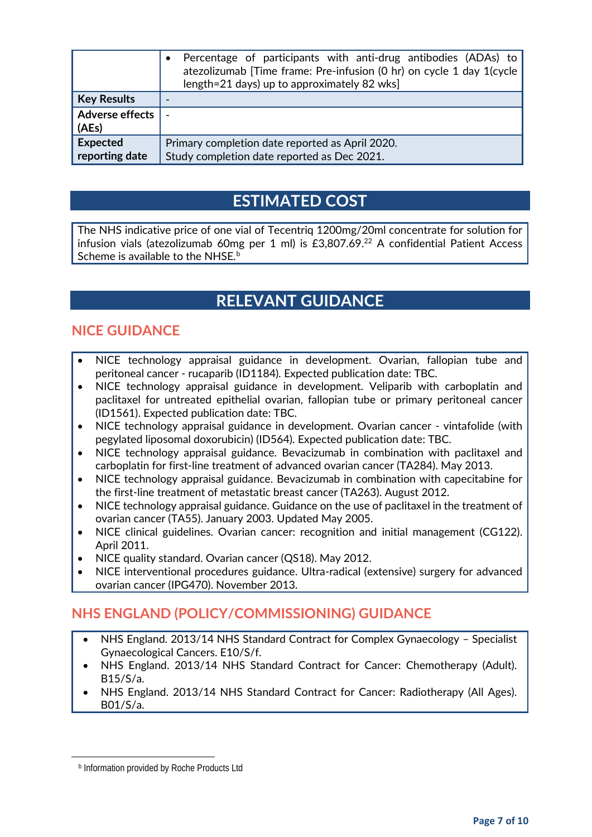|                                   | Percentage of participants with anti-drug antibodies (ADAs) to<br>atezolizumab [Time frame: Pre-infusion (0 hr) on cycle 1 day 1(cycle<br>length=21 days) up to approximately 82 wks] |
|-----------------------------------|---------------------------------------------------------------------------------------------------------------------------------------------------------------------------------------|
| <b>Key Results</b>                |                                                                                                                                                                                       |
| <b>Adverse effects</b><br>(AEs)   |                                                                                                                                                                                       |
| <b>Expected</b><br>reporting date | Primary completion date reported as April 2020.<br>Study completion date reported as Dec 2021.                                                                                        |

## **ESTIMATED COST**

The NHS indicative price of one vial of Tecentriq 1200mg/20ml concentrate for solution for infusion vials (atezolizumab 60mg per 1 ml) is  $£3,807.69<sup>22</sup>$  A confidential Patient Access Scheme is availa[b](#page-6-0)le to the NHSE.<sup>b</sup>

# **RELEVANT GUIDANCE**

### **NICE GUIDANCE**

- NICE technology appraisal guidance in development. Ovarian, fallopian tube and peritoneal cancer - rucaparib (ID1184). Expected publication date: TBC.
- NICE technology appraisal guidance in development. Veliparib with carboplatin and paclitaxel for untreated epithelial ovarian, fallopian tube or primary peritoneal cancer (ID1561). Expected publication date: TBC.
- NICE technology appraisal guidance in development. Ovarian cancer vintafolide (with pegylated liposomal doxorubicin) (ID564). Expected publication date: TBC.
- NICE technology appraisal guidance. Bevacizumab in combination with paclitaxel and carboplatin for first-line treatment of advanced ovarian cancer (TA284). May 2013.
- NICE technology appraisal guidance. Bevacizumab in combination with capecitabine for the first-line treatment of metastatic breast cancer (TA263). August 2012.
- NICE technology appraisal guidance. Guidance on the use of paclitaxel in the treatment of ovarian cancer (TA55). January 2003. Updated May 2005.
- NICE clinical guidelines. Ovarian cancer: recognition and initial management (CG122). April 2011.
- NICE quality standard. Ovarian cancer (QS18). May 2012.
- NICE interventional procedures guidance. Ultra-radical (extensive) surgery for advanced ovarian cancer (IPG470). November 2013.

### **NHS ENGLAND (POLICY/COMMISSIONING) GUIDANCE**

- NHS England. 2013/14 NHS Standard Contract for Complex Gynaecology Specialist Gynaecological Cancers. E10/S/f.
- NHS England. 2013/14 NHS Standard Contract for Cancer: Chemotherapy (Adult). B15/S/a.
- NHS England. 2013/14 NHS Standard Contract for Cancer: Radiotherapy (All Ages). B01/S/a.

<span id="page-6-0"></span> $\overline{a}$ 

**b** Information provided by Roche Products Ltd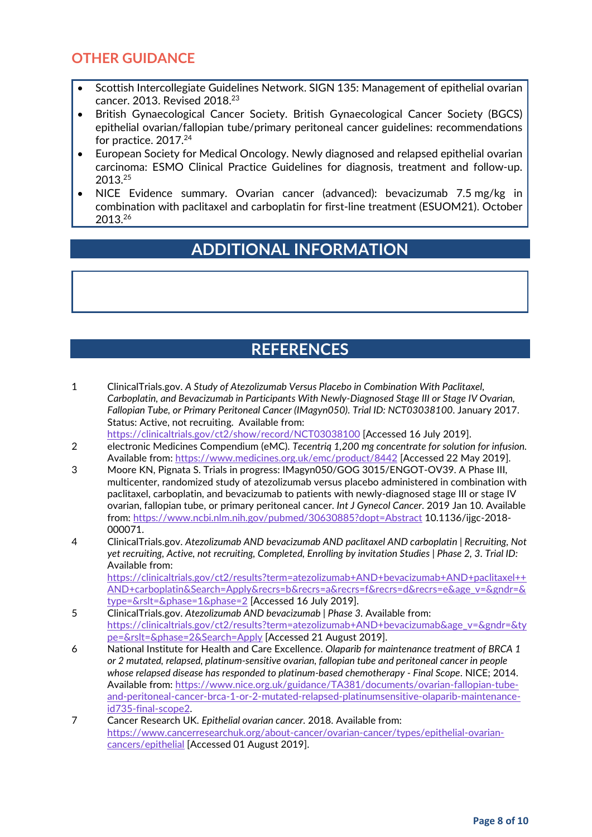#### **OTHER GUIDANCE**

- Scottish Intercollegiate Guidelines Network. SIGN 135: Management of epithelial ovarian cancer. 2013. Revised 2018.23
- British Gynaecological Cancer Society. British Gynaecological Cancer Society (BGCS) epithelial ovarian/fallopian tube/primary peritoneal cancer guidelines: recommendations for practice. 2017.<sup>24</sup>
- European Society for Medical Oncology. Newly diagnosed and relapsed epithelial ovarian carcinoma: ESMO Clinical Practice Guidelines for diagnosis, treatment and follow-up. 2013.25
- NICE Evidence summary. Ovarian cancer (advanced): bevacizumab 7.5 mg/kg in combination with paclitaxel and carboplatin for first-line treatment (ESUOM21). October 2013.26

## **ADDITIONAL INFORMATION**

# **REFERENCES**

- 1 ClinicalTrials.gov. *A Study of Atezolizumab Versus Placebo in Combination With Paclitaxel, Carboplatin, and Bevacizumab in Participants With Newly-Diagnosed Stage III or Stage IV Ovarian, Fallopian Tube, or Primary Peritoneal Cancer (IMagyn050)*. *Trial ID: NCT03038100*. January 2017. Status: Active, not recruiting. Available from:
- <https://clinicaltrials.gov/ct2/show/record/NCT03038100> [Accessed 16 July 2019]. 2 electronic Medicines Compendium (eMC). *Tecentriq 1,200 mg concentrate for solution for infusion.*
- Available from:<https://www.medicines.org.uk/emc/product/8442> [Accessed 22 May 2019].
- 3 Moore KN, Pignata S. Trials in progress: IMagyn050/GOG 3015/ENGOT-OV39. A Phase III, multicenter, randomized study of atezolizumab versus placebo administered in combination with paclitaxel, carboplatin, and bevacizumab to patients with newly-diagnosed stage III or stage IV ovarian, fallopian tube, or primary peritoneal cancer. *Int J Gynecol Cancer*. 2019 Jan 10. Available from:<https://www.ncbi.nlm.nih.gov/pubmed/30630885?dopt=Abstract> 10.1136/ijgc-2018- 000071.
- 4 ClinicalTrials.gov. *Atezolizumab AND bevacizumab AND paclitaxel AND carboplatin | Recruiting, Not yet recruiting, Active, not recruiting, Completed, Enrolling by invitation Studies | Phase 2, 3*. *Trial ID:*  Available from:

[https://clinicaltrials.gov/ct2/results?term=atezolizumab+AND+bevacizumab+AND+paclitaxel++](https://clinicaltrials.gov/ct2/results?term=atezolizumab+AND+bevacizumab+AND+paclitaxel++AND+carboplatin&Search=Apply&recrs=b&recrs=a&recrs=f&recrs=d&recrs=e&age_v=&gndr=&type=&rslt=&phase=1&phase=2) [AND+carboplatin&Search=Apply&recrs=b&recrs=a&recrs=f&recrs=d&recrs=e&age\\_v=&gndr=&](https://clinicaltrials.gov/ct2/results?term=atezolizumab+AND+bevacizumab+AND+paclitaxel++AND+carboplatin&Search=Apply&recrs=b&recrs=a&recrs=f&recrs=d&recrs=e&age_v=&gndr=&type=&rslt=&phase=1&phase=2) [type=&rslt=&phase=1&phase=2](https://clinicaltrials.gov/ct2/results?term=atezolizumab+AND+bevacizumab+AND+paclitaxel++AND+carboplatin&Search=Apply&recrs=b&recrs=a&recrs=f&recrs=d&recrs=e&age_v=&gndr=&type=&rslt=&phase=1&phase=2) [Accessed 16 July 2019].

- 5 ClinicalTrials.gov. *Atezolizumab AND bevacizumab | Phase 3.* Available from: [https://clinicaltrials.gov/ct2/results?term=atezolizumab+AND+bevacizumab&age\\_v=&gndr=&ty](https://clinicaltrials.gov/ct2/results?term=atezolizumab+AND+bevacizumab&age_v=&gndr=&type=&rslt=&phase=2&Search=Apply) [pe=&rslt=&phase=2&Search=Apply](https://clinicaltrials.gov/ct2/results?term=atezolizumab+AND+bevacizumab&age_v=&gndr=&type=&rslt=&phase=2&Search=Apply) [Accessed 21 August 2019].
- 6 National Institute for Health and Care Excellence. *Olaparib for maintenance treatment of BRCA 1 or 2 mutated, relapsed, platinum-sensitive ovarian, fallopian tube and peritoneal cancer in people whose relapsed disease has responded to platinum-based chemotherapy - Final Scope*. NICE; 2014. Available from: [https://www.nice.org.uk/guidance/TA381/documents/ovarian-fallopian-tube](https://www.nice.org.uk/guidance/TA381/documents/ovarian-fallopian-tube-and-peritoneal-cancer-brca-1-or-2-mutated-relapsed-platinumsensitive-olaparib-maintenance-id735-final-scope2)[and-peritoneal-cancer-brca-1-or-2-mutated-relapsed-platinumsensitive-olaparib-maintenance](https://www.nice.org.uk/guidance/TA381/documents/ovarian-fallopian-tube-and-peritoneal-cancer-brca-1-or-2-mutated-relapsed-platinumsensitive-olaparib-maintenance-id735-final-scope2)[id735-final-scope2.](https://www.nice.org.uk/guidance/TA381/documents/ovarian-fallopian-tube-and-peritoneal-cancer-brca-1-or-2-mutated-relapsed-platinumsensitive-olaparib-maintenance-id735-final-scope2)
- 7 Cancer Research UK. *Epithelial ovarian cancer.* 2018. Available from: [https://www.cancerresearchuk.org/about-cancer/ovarian-cancer/types/epithelial-ovarian](https://www.cancerresearchuk.org/about-cancer/ovarian-cancer/types/epithelial-ovarian-cancers/epithelial)[cancers/epithelial](https://www.cancerresearchuk.org/about-cancer/ovarian-cancer/types/epithelial-ovarian-cancers/epithelial) [Accessed 01 August 2019].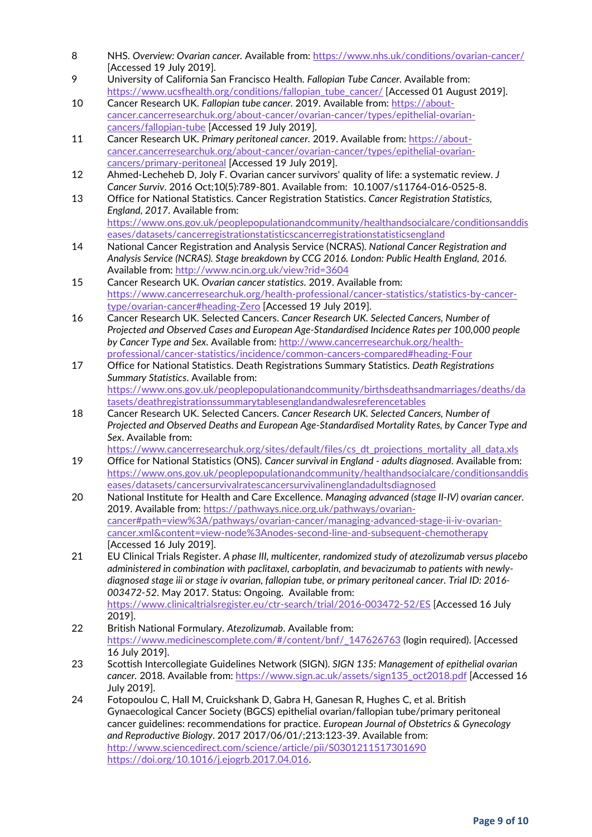- 8 NHS. *Overview: Ovarian cancer.* Available from:<https://www.nhs.uk/conditions/ovarian-cancer/> [Accessed 19 July 2019].
- 9 University of California San Francisco Health. *Fallopian Tube Cancer.* Available from: [https://www.ucsfhealth.org/conditions/fallopian\\_tube\\_cancer/](https://www.ucsfhealth.org/conditions/fallopian_tube_cancer/) [Accessed 01 August 2019].
- 10 Cancer Research UK. *Fallopian tube cancer.* 2019. Available from: [https://about](https://about-cancer.cancerresearchuk.org/about-cancer/ovarian-cancer/types/epithelial-ovarian-cancers/fallopian-tube)[cancer.cancerresearchuk.org/about-cancer/ovarian-cancer/types/epithelial-ovarian](https://about-cancer.cancerresearchuk.org/about-cancer/ovarian-cancer/types/epithelial-ovarian-cancers/fallopian-tube)[cancers/fallopian-tube](https://about-cancer.cancerresearchuk.org/about-cancer/ovarian-cancer/types/epithelial-ovarian-cancers/fallopian-tube) [Accessed 19 July 2019].
- 11 Cancer Research UK. *Primary peritoneal cancer.* 2019. Available from: [https://about](https://about-cancer.cancerresearchuk.org/about-cancer/ovarian-cancer/types/epithelial-ovarian-cancers/primary-peritoneal)[cancer.cancerresearchuk.org/about-cancer/ovarian-cancer/types/epithelial-ovarian](https://about-cancer.cancerresearchuk.org/about-cancer/ovarian-cancer/types/epithelial-ovarian-cancers/primary-peritoneal)[cancers/primary-peritoneal](https://about-cancer.cancerresearchuk.org/about-cancer/ovarian-cancer/types/epithelial-ovarian-cancers/primary-peritoneal) [Accessed 19 July 2019].
- 12 Ahmed-Lecheheb D, Joly F. Ovarian cancer survivors' quality of life: a systematic review. *J Cancer Surviv*. 2016 Oct;10(5):789-801. Available from: 10.1007/s11764-016-0525-8.
- 13 Office for National Statistics. Cancer Registration Statistics. *Cancer Registration Statistics, England, 2017*. Available from: [https://www.ons.gov.uk/peoplepopulationandcommunity/healthandsocialcare/conditionsanddis](https://www.ons.gov.uk/peoplepopulationandcommunity/healthandsocialcare/conditionsanddiseases/datasets/cancerregistrationstatisticscancerregistrationstatisticsengland)
- [eases/datasets/cancerregistrationstatisticscancerregistrationstatisticsengland](https://www.ons.gov.uk/peoplepopulationandcommunity/healthandsocialcare/conditionsanddiseases/datasets/cancerregistrationstatisticscancerregistrationstatisticsengland) 14 National Cancer Registration and Analysis Service (NCRAS). *National Cancer Registration and Analysis Service (NCRAS). Stage breakdown by CCG 2016. London: Public Health England, 2016*. Available from:<http://www.ncin.org.uk/view?rid=3604>
- 15 Cancer Research UK. *Ovarian cancer statistics.* 2019. Available from: [https://www.cancerresearchuk.org/health-professional/cancer-statistics/statistics-by-cancer](https://www.cancerresearchuk.org/health-professional/cancer-statistics/statistics-by-cancer-type/ovarian-cancer#heading-Zero)[type/ovarian-cancer#heading-Zero](https://www.cancerresearchuk.org/health-professional/cancer-statistics/statistics-by-cancer-type/ovarian-cancer#heading-Zero) [Accessed 19 July 2019].
- 16 Cancer Research UK. Selected Cancers. *Cancer Research UK. Selected Cancers, Number of Projected and Observed Cases and European Age-Standardised Incidence Rates per 100,000 people by Cancer Type and Sex*. Available from: [http://www.cancerresearchuk.org/health](http://www.cancerresearchuk.org/health-professional/cancer-statistics/incidence/common-cancers-compared#heading-Four)[professional/cancer-statistics/incidence/common-cancers-compared#heading-Four](http://www.cancerresearchuk.org/health-professional/cancer-statistics/incidence/common-cancers-compared#heading-Four)
- 17 Office for National Statistics. Death Registrations Summary Statistics. *Death Registrations Summary Statistics*. Available from: [https://www.ons.gov.uk/peoplepopulationandcommunity/birthsdeathsandmarriages/deaths/da](https://www.ons.gov.uk/peoplepopulationandcommunity/birthsdeathsandmarriages/deaths/datasets/deathregistrationssummarytablesenglandandwalesreferencetables) [tasets/deathregistrationssummarytablesenglandandwalesreferencetables](https://www.ons.gov.uk/peoplepopulationandcommunity/birthsdeathsandmarriages/deaths/datasets/deathregistrationssummarytablesenglandandwalesreferencetables)
- 18 Cancer Research UK. Selected Cancers. *Cancer Research UK. Selected Cancers, Number of Projected and Observed Deaths and European Age-Standardised Mortality Rates, by Cancer Type and Sex*. Available from:

[https://www.cancerresearchuk.org/sites/default/files/cs\\_dt\\_projections\\_mortality\\_all\\_data.xls](https://www.cancerresearchuk.org/sites/default/files/cs_dt_projections_mortality_all_data.xls)

- 19 Office for National Statistics (ONS). *Cancer survival in England - adults diagnosed*. Available from: [https://www.ons.gov.uk/peoplepopulationandcommunity/healthandsocialcare/conditionsanddis](https://www.ons.gov.uk/peoplepopulationandcommunity/healthandsocialcare/conditionsanddiseases/datasets/cancersurvivalratescancersurvivalinenglandadultsdiagnosed) [eases/datasets/cancersurvivalratescancersurvivalinenglandadultsdiagnosed](https://www.ons.gov.uk/peoplepopulationandcommunity/healthandsocialcare/conditionsanddiseases/datasets/cancersurvivalratescancersurvivalinenglandadultsdiagnosed)
- 20 National Institute for Health and Care Excellence. *Managing advanced (stage II-IV) ovarian cancer.* 2019. Available from: [https://pathways.nice.org.uk/pathways/ovarian](https://pathways.nice.org.uk/pathways/ovarian-cancer#path=view%3A/pathways/ovarian-cancer/managing-advanced-stage-ii-iv-ovarian-cancer.xml&content=view-node%3Anodes-second-line-and-subsequent-chemotherapy)[cancer#path=view%3A/pathways/ovarian-cancer/managing-advanced-stage-ii-iv-ovarian](https://pathways.nice.org.uk/pathways/ovarian-cancer#path=view%3A/pathways/ovarian-cancer/managing-advanced-stage-ii-iv-ovarian-cancer.xml&content=view-node%3Anodes-second-line-and-subsequent-chemotherapy)[cancer.xml&content=view-node%3Anodes-second-line-and-subsequent-chemotherapy](https://pathways.nice.org.uk/pathways/ovarian-cancer#path=view%3A/pathways/ovarian-cancer/managing-advanced-stage-ii-iv-ovarian-cancer.xml&content=view-node%3Anodes-second-line-and-subsequent-chemotherapy) [Accessed 16 July 2019].
- 21 EU Clinical Trials Register. *A phase III, multicenter, randomized study of atezolizumab versus placebo administered in combination with paclitaxel, carboplatin, and bevacizumab to patients with newlydiagnosed stage iii or stage iv ovarian, fallopian tube, or primary peritoneal cancer*. *Trial ID: 2016- 003472-52*. May 2017. Status: Ongoing. Available from: <https://www.clinicaltrialsregister.eu/ctr-search/trial/2016-003472-52/ES> [Accessed 16 July 2019].
- 22 British National Formulary. *Atezolizumab*. Available from: [https://www.medicinescomplete.com/#/content/bnf/\\_147626763](https://www.medicinescomplete.com/#/content/bnf/_147626763) (login required). [Accessed 16 July 2019].
- 23 Scottish Intercollegiate Guidelines Network (SIGN). *SIGN 135: Management of epithelial ovarian cancer.* 2018. Available from: [https://www.sign.ac.uk/assets/sign135\\_oct2018.pdf](https://www.sign.ac.uk/assets/sign135_oct2018.pdf) [Accessed 16 July 2019].
- 24 Fotopoulou C, Hall M, Cruickshank D, Gabra H, Ganesan R, Hughes C, et al. British Gynaecological Cancer Society (BGCS) epithelial ovarian/fallopian tube/primary peritoneal cancer guidelines: recommendations for practice. *European Journal of Obstetrics & Gynecology and Reproductive Biology*. 2017 2017/06/01/;213:123-39. Available from: <http://www.sciencedirect.com/science/article/pii/S0301211517301690> [https://doi.org/10.1016/j.ejogrb.2017.04.016.](https://doi.org/10.1016/j.ejogrb.2017.04.016)